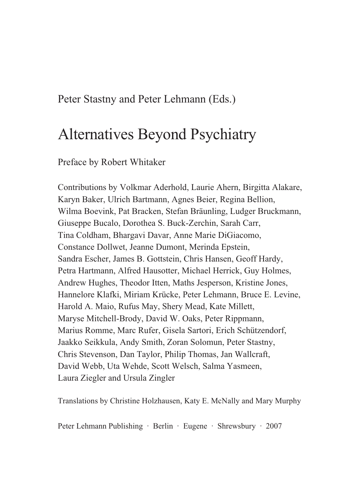## Peter Stastny and Peter Lehmann (Eds.)

# Alternatives Beyond Psychiatry

## Preface by Robert Whitaker

Contributions by Volkmar Aderhold, Laurie Ahern, Birgitta Alakare, Karyn Baker, Ulrich Bartmann, Agnes Beier, Regina Bellion, Wilma Boevink, Pat Bracken, Stefan Bräunling, Ludger Bruckmann, Giuseppe Bucalo, Dorothea S. Buck-Zerchin, Sarah Carr, Tina Coldham, Bhargavi Davar, Anne Marie DiGiacomo, Constance Dollwet, Jeanne Dumont, Merinda Epstein, Sandra Escher, James B. Gottstein, Chris Hansen, Geoff Hardy, Petra Hartmann, Alfred Hausotter, Michael Herrick, Guy Holmes, Andrew Hughes, Theodor Itten, Maths Jesperson, Kristine Jones, Hannelore Klafki, Miriam Krücke, Peter Lehmann, Bruce E. Levine, Harold A. Maio, Rufus May, Shery Mead, Kate Millett, Maryse Mitchell-Brody, David W. Oaks, Peter Rippmann, Marius Romme, Marc Rufer, Gisela Sartori, Erich Schützendorf, Jaakko Seikkula, Andy Smith, Zoran Solomun, Peter Stastny, Chris Stevenson, Dan Taylor, Philip Thomas, Jan Wallcraft, David Webb, Uta Wehde, Scott Welsch, Salma Yasmeen, Laura Ziegler and Ursula Zingler

Translations by Christine Holzhausen, Katy E. McNally and Mary Murphy

Peter Lehmann Publishing · Berlin · Eugene · Shrewsbury · 2007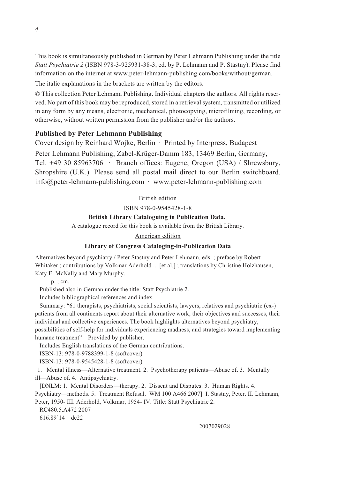This book is simultaneously published in German by Peter Lehmann Publishing under the title *Statt Psychiatrie 2* (ISBN 978-3-925931-38-3, ed. by P. Lehmann and P. Stastny). Please find information on the internet at www.peter-lehmann-publishing.com/books/without/german.

The italic explanations in the brackets are written by the editors.

© This collection Peter Lehmann Publishing. Individual chapters the authors. All rights reserved. No part of this book may be reproduced, stored in a retrieval system, transmitted or utilized in any form by any means, electronic, mechanical, photocopying, microfilming, recording, or otherwise, without written permission from the publisher and/or the authors.

**Published by Peter Lehmann Publishing** Cover design by Reinhard Wojke, Berlin · Printed by Interpress, Budapest Peter Lehmann Publishing, Zabel-Krüger-Damm 183, 13469 Berlin, Germany, Tel. +49 30 85963706 · Branch offices: Eugene, Oregon (USA) / Shrewsbury, Shropshire (U.K.). Please send all postal mail direct to our Berlin switchboard. info@peter-lehmann-publishing.com · www.peter-lehmann-publishing.com

#### British edition

ISBN 978-0-9545428-1-8

**British Library Cataloguing in Publication Data.** A catalogue record for this book is available from the British Library.

#### American edition

## **Library of Congress Cataloging-in-Publication Data**

Alternatives beyond psychiatry / Peter Stastny and Peter Lehmann, eds. ; preface by Robert Whitaker ; contributions by Volkmar Aderhold ... [et al.] ; translations by Christine Holzhausen, Katy E. McNally and Mary Murphy.

p. ; cm.

Published also in German under the title: Statt Psychiatrie 2.

Includes bibliographical references and index.

Summary: "61 therapists, psychiatrists, social scientists, lawyers, relatives and psychiatric (ex-) patients from all continents report about their alternative work, their objectives and successes, their individual and collective experiences. The book highlights alternatives beyond psychiatry, possibilities of self-help for individuals experiencing madness, and strategies toward implementing

humane treatment"—Provided by publisher.

Includes English translations of the German contributions.

ISBN-13: 978-0-9788399-1-8 (softcover)

ISBN-13: 978-0-9545428-1-8 (softcover)

1. Mental illness—Alternative treatment. 2. Psychotherapy patients—Abuse of. 3. Mentally

ill—Abuse of. 4. Antipsychiatry.

[DNLM: 1. Mental Disorders—therapy. 2. Dissent and Disputes. 3. Human Rights. 4.

Psychiatry—methods. 5. Treatment Refusal. WM 100 A466 2007] I. Stastny, Peter. II. Lehmann, Peter, 1950- III. Aderhold, Volkmar, 1954- IV. Title: Statt Psychiatrie 2.

RC480.5.A472 2007

616.89'14—dc22

2007029028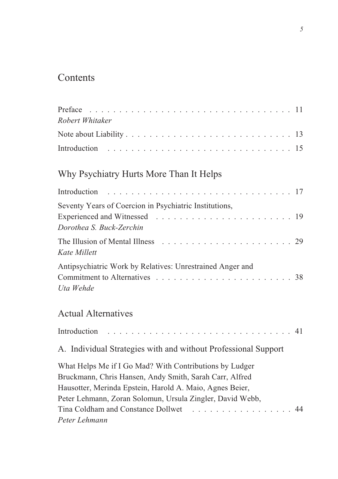## Contents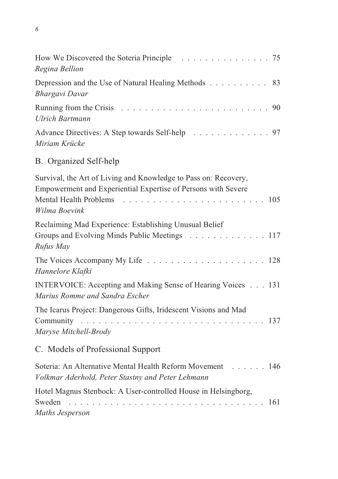| How We Discovered the Soteria Principle<br>. 75<br>Regina Bellion                                                                                                                  |
|------------------------------------------------------------------------------------------------------------------------------------------------------------------------------------|
| Depression and the Use of Natural Healing Methods<br>83<br>Bhargavi Davar                                                                                                          |
| Running from the Crisis<br>90<br>.<br>Ulrich Bartmann                                                                                                                              |
| Advance Directives: A Step towards Self-help 97<br>Miriam Krücke                                                                                                                   |
| B. Organized Self-help                                                                                                                                                             |
| Survival, the Art of Living and Knowledge to Pass on: Recovery,<br>Empowerment and Experiential Expertise of Persons with Severe<br>Mental Health Problems<br>105<br>Wilma Boevink |
| Reclaiming Mad Experience: Establishing Unusual Belief<br>Groups and Evolving Minds Public Meetings 117<br>Rufus May                                                               |
| The Voices Accompany My Life $\ldots \ldots \ldots \ldots \ldots \ldots \ldots 128$<br>Hannelore Klafki                                                                            |
| INTERVOICE: Accepting and Making Sense of Hearing Voices 131<br>Marius Romme and Sandra Escher                                                                                     |
| The Icarus Project: Dangerous Gifts, Iridescent Visions and Mad<br>Community<br>137<br>$\sim 10^{-1}$<br>Maryse Mitchell-Brody                                                     |
| C. Models of Professional Support                                                                                                                                                  |
| Soteria: An Alternative Mental Health Reform Movement<br>.146<br>Volkmar Aderhold, Peter Stastny and Peter Lehmann                                                                 |
| Hotel Magnus Stenbock: A User-controlled House in Helsingborg,<br>Sweden<br>161<br>Maths Jesperson                                                                                 |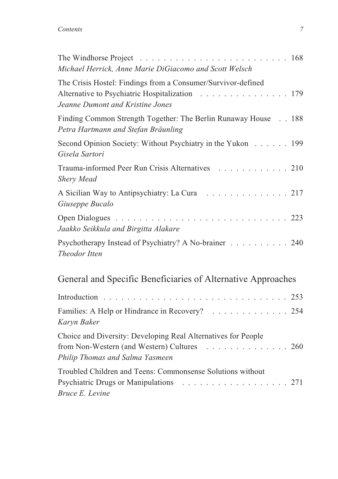#### *Contents 7*

| The Windhorse Project $\ldots \ldots \ldots \ldots \ldots \ldots \ldots \ldots \ldots 168$<br>Michael Herrick, Anne Marie DiGiacomo and Scott Welsch |
|------------------------------------------------------------------------------------------------------------------------------------------------------|
| The Crisis Hostel: Findings from a Consumer/Survivor-defined<br>Alternative to Psychiatric Hospitalization 179<br>Jeanne Dumont and Kristine Jones   |
| Finding Common Strength Together: The Berlin Runaway House 188<br>Petra Hartmann and Stefan Bräunling                                                |
| Second Opinion Society: Without Psychiatry in the Yukon 199<br>Gisela Sartori                                                                        |
| Trauma-informed Peer Run Crisis Alternatives 210<br>Shery Mead                                                                                       |
| A Sicilian Way to Antipsychiatry: La Cura 217<br>Giuseppe Bucalo                                                                                     |
| Jaakko Seikkula and Birgitta Alakare                                                                                                                 |
| Psychotherapy Instead of Psychiatry? A No-brainer 240<br>Theodor Itten                                                                               |
| General and Specific Beneficiaries of Alternative Approaches                                                                                         |
| Introduction $\ldots$ , $\ldots$                                                                                                                     |
| Families: A Help or Hindrance in Recovery? 254<br>Karyn Baker                                                                                        |
| Choice and Diversity: Developing Real Alternatives for People<br>from Non-Western (and Western) Cultures 260<br>Philip Thomas and Salma Yasmeen      |
| Troubled Children and Teens: Commonsense Solutions without<br>Bruce E. Levine                                                                        |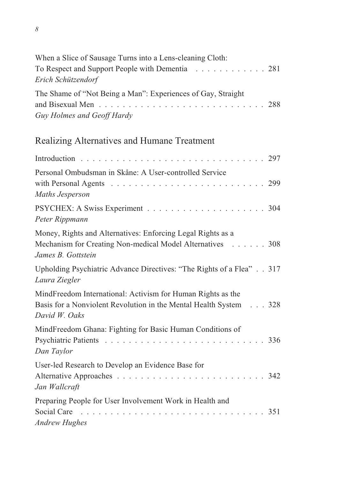| When a Slice of Sausage Turns into a Lens-cleaning Cloth:<br>To Respect and Support People with Dementia 281<br>Erich Schützendorf |  |
|------------------------------------------------------------------------------------------------------------------------------------|--|
| The Shame of "Not Being a Man": Experiences of Gay, Straight<br>Guy Holmes and Geoff Hardy                                         |  |
| Realizing Alternatives and Humane Treatment                                                                                        |  |
|                                                                                                                                    |  |
| Personal Ombudsman in Skåne: A User-controlled Service<br>Maths Jesperson                                                          |  |

| Personal Ombudsman in Skåne: A User-controlled Service<br>Maths Jesperson                                                                         |
|---------------------------------------------------------------------------------------------------------------------------------------------------|
| Peter Rippmann                                                                                                                                    |
| Money, Rights and Alternatives: Enforcing Legal Rights as a<br>Mechanism for Creating Non-medical Model Alternatives 308<br>James B. Gottstein    |
| Upholding Psychiatric Advance Directives: "The Rights of a Flea" 317<br>Laura Ziegler                                                             |
| MindFreedom International: Activism for Human Rights as the<br>Basis for a Nonviolent Revolution in the Mental Health System 328<br>David W. Oaks |
| MindFreedom Ghana: Fighting for Basic Human Conditions of<br>Dan Taylor                                                                           |
| User-led Research to Develop an Evidence Base for<br>Jan Wallcraft                                                                                |
| Preparing People for User Involvement Work in Health and<br>. 351<br>Social Care<br><b>Andrew Hughes</b>                                          |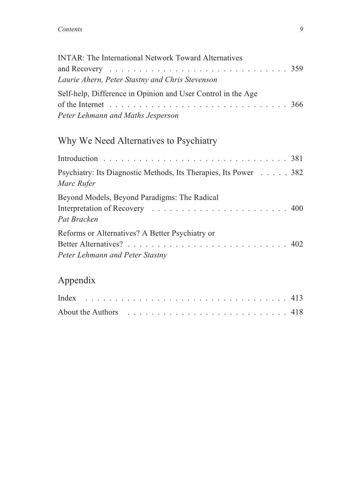#### *Contents 9*

| <b>INTAR: The International Network Toward Alternatives</b>                                                                                                                                                                            |
|----------------------------------------------------------------------------------------------------------------------------------------------------------------------------------------------------------------------------------------|
| Laurie Ahern, Peter Stastny and Chris Stevenson                                                                                                                                                                                        |
| Self-help, Difference in Opinion and User Control in the Age<br>of the Internet $\ldots$ , $\ldots$ , $\ldots$ , $\ldots$ , $\ldots$ , $\ldots$ , $\ldots$ , $\ldots$ , $\ldots$ , $\ldots$ , 366<br>Peter Lehmann and Maths Jesperson |
| Why We Need Alternatives to Psychiatry                                                                                                                                                                                                 |
|                                                                                                                                                                                                                                        |
| Psychiatry: Its Diagnostic Methods, Its Therapies, Its Power 382<br>Marc Rufer                                                                                                                                                         |
| Beyond Models, Beyond Paradigms: The Radical<br>Pat Bracken                                                                                                                                                                            |
| Reforms or Alternatives? A Better Psychiatry or<br>Peter Lehmann and Peter Stastny                                                                                                                                                     |
| Appendix                                                                                                                                                                                                                               |
|                                                                                                                                                                                                                                        |
|                                                                                                                                                                                                                                        |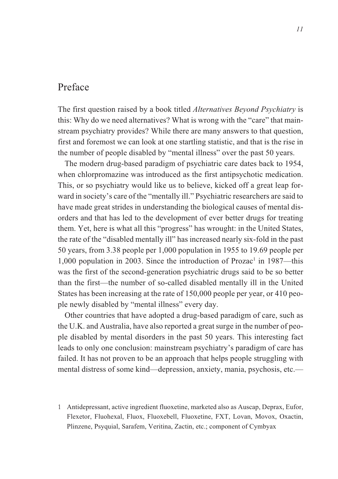### Preface

The first question raised by a book titled *Alternatives Beyond Psychiatry* is this: Why do we need alternatives? What is wrong with the "care" that mainstream psychiatry provides? While there are many answers to that question, first and foremost we can look at one startling statistic, and that is the rise in the number of people disabled by "mental illness" over the past 50 years.

The modern drug-based paradigm of psychiatric care dates back to 1954, when chlorpromazine was introduced as the first antipsychotic medication. This, or so psychiatry would like us to believe, kicked off a great leap forward in society's care of the "mentally ill." Psychiatric researchers are said to have made great strides in understanding the biological causes of mental disorders and that has led to the development of ever better drugs for treating them. Yet, here is what all this "progress" has wrought: in the United States, the rate of the "disabled mentally ill" has increased nearly six-fold in the past 50 years, from 3.38 people per 1,000 population in 1955 to 19.69 people per 1,000 population in 2003. Since the introduction of  $Prozac<sup>1</sup>$  in 1987—this was the first of the second-generation psychiatric drugs said to be so better than the first—the number of so-called disabled mentally ill in the United States has been increasing at the rate of 150,000 people per year, or 410 people newly disabled by "mental illness" every day.

Other countries that have adopted a drug-based paradigm of care, such as the U.K. and Australia, have also reported a great surge in the number of people disabled by mental disorders in the past 50 years. This interesting fact leads to only one conclusion: mainstream psychiatry's paradigm of care has failed. It has not proven to be an approach that helps people struggling with mental distress of some kind—depression, anxiety, mania, psychosis, etc.—

1 Antidepressant, active ingredient fluoxetine, marketed also as Auscap, Deprax, Eufor, Flexetor, Fluohexal, Fluox, Fluoxebell, Fluoxetine, FXT, Lovan, Movox, Oxactin, Plinzene, Psyquial, Sarafem, Veritina, Zactin, etc.; component of Cymbyax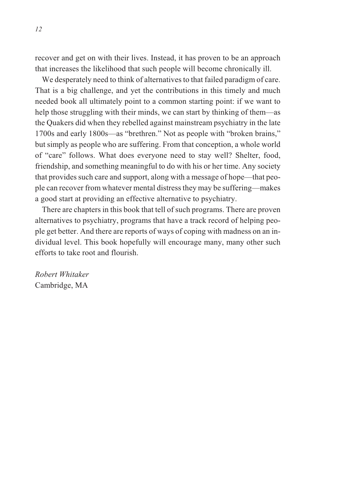recover and get on with their lives. Instead, it has proven to be an approach that increases the likelihood that such people will become chronically ill.

We desperately need to think of alternatives to that failed paradigm of care. That is a big challenge, and yet the contributions in this timely and much needed book all ultimately point to a common starting point: if we want to help those struggling with their minds, we can start by thinking of them—as the Quakers did when they rebelled against mainstream psychiatry in the late 1700s and early 1800s—as "brethren." Not as people with "broken brains," but simply as people who are suffering. From that conception, a whole world of "care" follows. What does everyone need to stay well? Shelter, food, friendship, and something meaningful to do with his or her time. Any society that provides such care and support, along with a message of hope—that people can recover from whatever mental distress they may be suffering—makes a good start at providing an effective alternative to psychiatry.

There are chapters in this book that tell of such programs. There are proven alternatives to psychiatry, programs that have a track record of helping people get better. And there are reports of ways of coping with madness on an individual level. This book hopefully will encourage many, many other such efforts to take root and flourish.

*Robert Whitaker* Cambridge, MA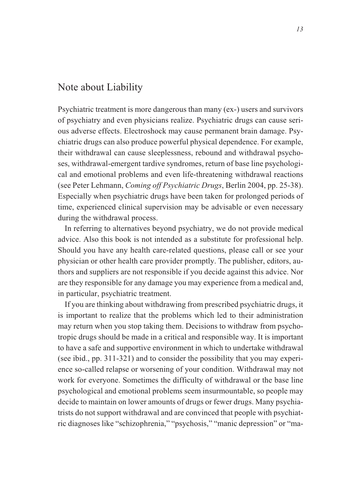## Note about Liability

Psychiatric treatment is more dangerous than many (ex-) users and survivors of psychiatry and even physicians realize. Psychiatric drugs can cause serious adverse effects. Electroshock may cause permanent brain damage. Psychiatric drugs can also produce powerful physical dependence. For example, their withdrawal can cause sleeplessness, rebound and withdrawal psychoses, withdrawal-emergent tardive syndromes, return of base line psychological and emotional problems and even life-threatening withdrawal reactions (see Peter Lehmann, *Coming off Psychiatric Drugs*, Berlin 2004, pp. 25-38). Especially when psychiatric drugs have been taken for prolonged periods of time, experienced clinical supervision may be advisable or even necessary during the withdrawal process.

In referring to alternatives beyond psychiatry, we do not provide medical advice. Also this book is not intended as a substitute for professional help. Should you have any health care-related questions, please call or see your physician or other health care provider promptly. The publisher, editors, authors and suppliers are not responsible if you decide against this advice. Nor are they responsible for any damage you may experience from a medical and, in particular, psychiatric treatment.

If you are thinking about withdrawing from prescribed psychiatric drugs, it is important to realize that the problems which led to their administration may return when you stop taking them. Decisions to withdraw from psychotropic drugs should be made in a critical and responsible way. It is important to have a safe and supportive environment in which to undertake withdrawal (see ibid., pp. 311-321) and to consider the possibility that you may experience so-called relapse or worsening of your condition. Withdrawal may not work for everyone. Sometimes the difficulty of withdrawal or the base line psychological and emotional problems seem insurmountable, so people may decide to maintain on lower amounts of drugs or fewer drugs. Many psychiatrists do not support withdrawal and are convinced that people with psychiatric diagnoses like "schizophrenia," "psychosis," "manic depression" or "ma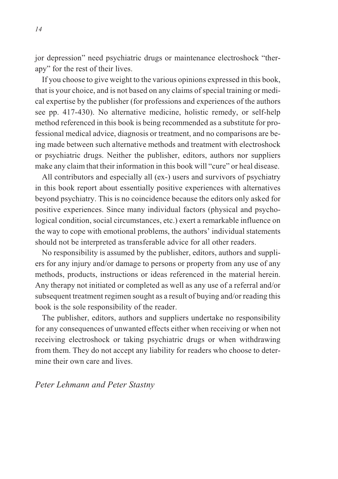jor depression" need psychiatric drugs or maintenance electroshock "therapy" for the rest of their lives.

If you choose to give weight to the various opinions expressed in this book, that is your choice, and is not based on any claims of special training or medical expertise by the publisher (for professions and experiences of the authors see pp. 417-430). No alternative medicine, holistic remedy, or self-help method referenced in this book is being recommended as a substitute for professional medical advice, diagnosis or treatment, and no comparisons are being made between such alternative methods and treatment with electroshock or psychiatric drugs. Neither the publisher, editors, authors nor suppliers make any claim that their information in this book will "cure" or heal disease.

All contributors and especially all (ex-) users and survivors of psychiatry in this book report about essentially positive experiences with alternatives beyond psychiatry. This is no coincidence because the editors only asked for positive experiences. Since many individual factors (physical and psychological condition, social circumstances, etc.) exert a remarkable influence on the way to cope with emotional problems, the authors' individual statements should not be interpreted as transferable advice for all other readers.

No responsibility is assumed by the publisher, editors, authors and suppliers for any injury and/or damage to persons or property from any use of any methods, products, instructions or ideas referenced in the material herein. Any therapy not initiated or completed as well as any use of a referral and/or subsequent treatment regimen sought as a result of buying and/or reading this book is the sole responsibility of the reader.

The publisher, editors, authors and suppliers undertake no responsibility for any consequences of unwanted effects either when receiving or when not receiving electroshock or taking psychiatric drugs or when withdrawing from them. They do not accept any liability for readers who choose to determine their own care and lives.

### *Peter Lehmann and Peter Stastny*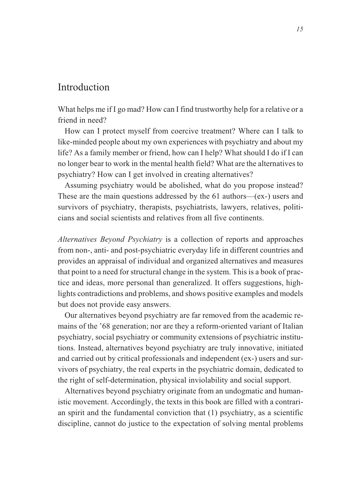## Introduction

What helps me if I go mad? How can I find trustworthy help for a relative or a friend in need?

How can I protect myself from coercive treatment? Where can I talk to like-minded people about my own experiences with psychiatry and about my life? As a family member or friend, how can I help? What should I do if I can no longer bear to work in the mental health field? What are the alternatives to psychiatry? How can I get involved in creating alternatives?

Assuming psychiatry would be abolished, what do you propose instead? These are the main questions addressed by the 61 authors—(ex-) users and survivors of psychiatry, therapists, psychiatrists, lawyers, relatives, politicians and social scientists and relatives from all five continents.

*Alternatives Beyond Psychiatry* is a collection of reports and approaches from non-, anti- and post-psychiatric everyday life in different countries and provides an appraisal of individual and organized alternatives and measures that point to a need for structural change in the system. This is a book of practice and ideas, more personal than generalized. It offers suggestions, highlights contradictions and problems, and shows positive examples and models but does not provide easy answers.

Our alternatives beyond psychiatry are far removed from the academic remains of the '68 generation; nor are they a reform-oriented variant of Italian psychiatry, social psychiatry or community extensions of psychiatric institutions. Instead, alternatives beyond psychiatry are truly innovative, initiated and carried out by critical professionals and independent (ex-) users and survivors of psychiatry, the real experts in the psychiatric domain, dedicated to the right of self-determination, physical inviolability and social support.

Alternatives beyond psychiatry originate from an undogmatic and humanistic movement. Accordingly, the texts in this book are filled with a contrarian spirit and the fundamental conviction that (1) psychiatry, as a scientific discipline, cannot do justice to the expectation of solving mental problems